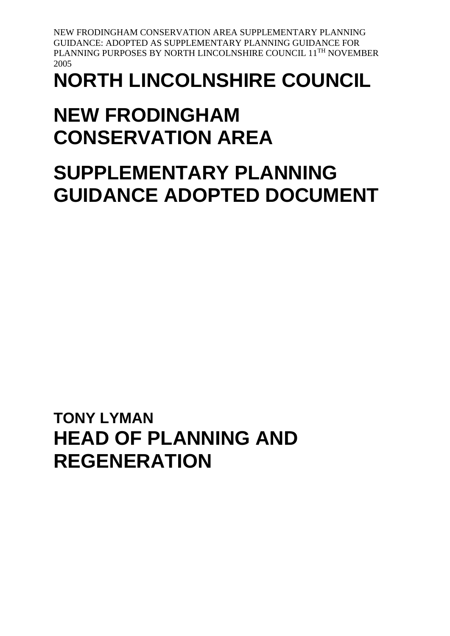# **NORTH LINCOLNSHIRE COUNCIL**

# **NEW FRODINGHAM CONSERVATION AREA**

# **SUPPLEMENTARY PLANNING GUIDANCE ADOPTED DOCUMENT**

**TONY LYMAN HEAD OF PLANNING AND REGENERATION**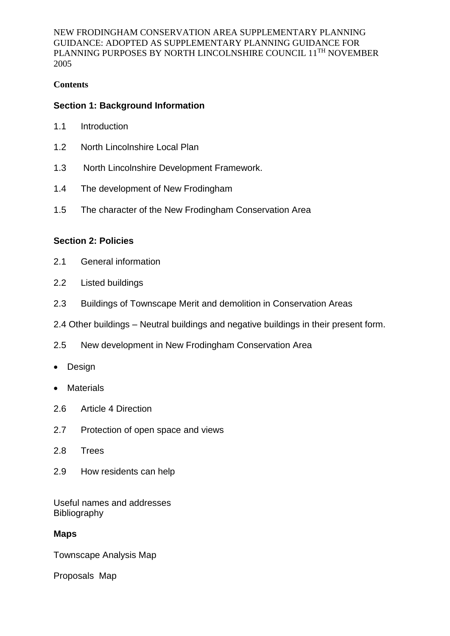#### **Contents**

#### **Section 1: Background Information**

- 1.1 Introduction
- 1.2 North Lincolnshire Local Plan
- 1.3 North Lincolnshire Development Framework.
- 1.4 The development of New Frodingham
- 1.5 The character of the New Frodingham Conservation Area

#### **Section 2: Policies**

- 2.1 General information
- 2.2 Listed buildings
- 2.3 Buildings of Townscape Merit and demolition in Conservation Areas
- 2.4 Other buildings Neutral buildings and negative buildings in their present form.
- 2.5 New development in New Frodingham Conservation Area
- Design
- Materials
- 2.6 Article 4 Direction
- 2.7 Protection of open space and views
- 2.8 Trees
- 2.9 How residents can help

Useful names and addresses Bibliography

#### **Maps**

Townscape Analysis Map

Proposals Map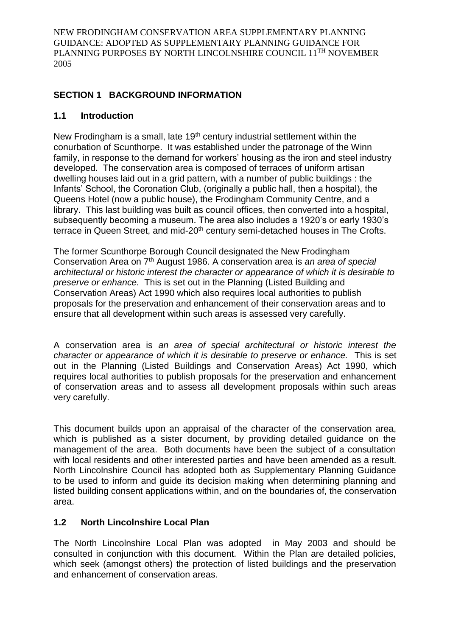# **SECTION 1 BACKGROUND INFORMATION**

#### **1.1 Introduction**

New Frodingham is a small, late 19<sup>th</sup> century industrial settlement within the conurbation of Scunthorpe. It was established under the patronage of the Winn family, in response to the demand for workers' housing as the iron and steel industry developed. The conservation area is composed of terraces of uniform artisan dwelling houses laid out in a grid pattern, with a number of public buildings : the Infants' School, the Coronation Club, (originally a public hall, then a hospital), the Queens Hotel (now a public house), the Frodingham Community Centre, and a library. This last building was built as council offices, then converted into a hospital, subsequently becoming a museum. The area also includes a 1920's or early 1930's terrace in Queen Street, and mid-20<sup>th</sup> century semi-detached houses in The Crofts.

The former Scunthorpe Borough Council designated the New Frodingham Conservation Area on 7th August 1986. A conservation area is *an area of special architectural or historic interest the character or appearance of which it is desirable to preserve or enhance.* This is set out in the Planning (Listed Building and Conservation Areas) Act 1990 which also requires local authorities to publish proposals for the preservation and enhancement of their conservation areas and to ensure that all development within such areas is assessed very carefully.

A conservation area is *an area of special architectural or historic interest the character or appearance of which it is desirable to preserve or enhance.* This is set out in the Planning (Listed Buildings and Conservation Areas) Act 1990, which requires local authorities to publish proposals for the preservation and enhancement of conservation areas and to assess all development proposals within such areas very carefully.

This document builds upon an appraisal of the character of the conservation area, which is published as a sister document, by providing detailed guidance on the management of the area. Both documents have been the subject of a consultation with local residents and other interested parties and have been amended as a result. North Lincolnshire Council has adopted both as Supplementary Planning Guidance to be used to inform and guide its decision making when determining planning and listed building consent applications within, and on the boundaries of, the conservation area.

# **1.2 North Lincolnshire Local Plan**

The North Lincolnshire Local Plan was adopted in May 2003 and should be consulted in conjunction with this document. Within the Plan are detailed policies, which seek (amongst others) the protection of listed buildings and the preservation and enhancement of conservation areas.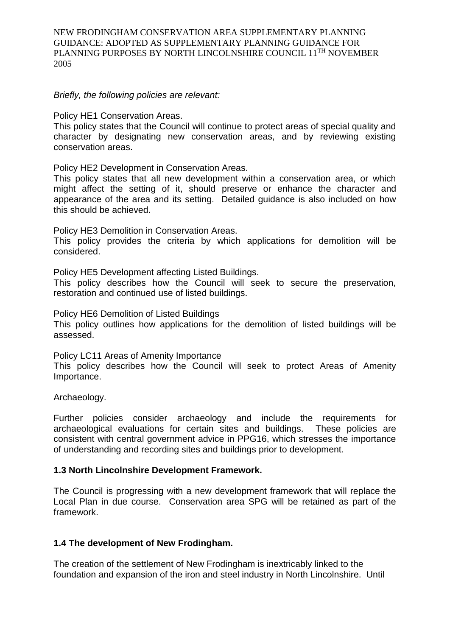*Briefly, the following policies are relevant:*

Policy HE1 Conservation Areas.

This policy states that the Council will continue to protect areas of special quality and character by designating new conservation areas, and by reviewing existing conservation areas.

Policy HE2 Development in Conservation Areas.

This policy states that all new development within a conservation area, or which might affect the setting of it, should preserve or enhance the character and appearance of the area and its setting. Detailed guidance is also included on how this should be achieved.

Policy HE3 Demolition in Conservation Areas. This policy provides the criteria by which applications for demolition will be considered.

Policy HE5 Development affecting Listed Buildings.

This policy describes how the Council will seek to secure the preservation, restoration and continued use of listed buildings.

Policy HE6 Demolition of Listed Buildings

This policy outlines how applications for the demolition of listed buildings will be assessed.

Policy LC11 Areas of Amenity Importance

This policy describes how the Council will seek to protect Areas of Amenity Importance.

Archaeology.

Further policies consider archaeology and include the requirements for archaeological evaluations for certain sites and buildings. These policies are consistent with central government advice in PPG16, which stresses the importance of understanding and recording sites and buildings prior to development.

#### **1.3 North Lincolnshire Development Framework.**

The Council is progressing with a new development framework that will replace the Local Plan in due course. Conservation area SPG will be retained as part of the framework.

#### **1.4 The development of New Frodingham.**

The creation of the settlement of New Frodingham is inextricably linked to the foundation and expansion of the iron and steel industry in North Lincolnshire. Until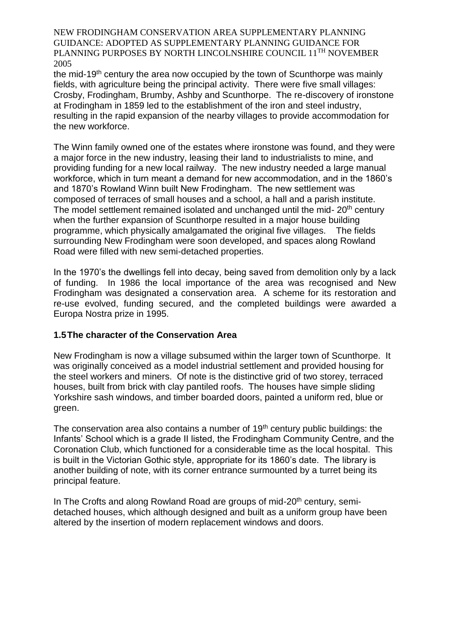the mid-19th century the area now occupied by the town of Scunthorpe was mainly fields, with agriculture being the principal activity. There were five small villages: Crosby, Frodingham, Brumby, Ashby and Scunthorpe. The re-discovery of ironstone at Frodingham in 1859 led to the establishment of the iron and steel industry, resulting in the rapid expansion of the nearby villages to provide accommodation for the new workforce.

The Winn family owned one of the estates where ironstone was found, and they were a major force in the new industry, leasing their land to industrialists to mine, and providing funding for a new local railway. The new industry needed a large manual workforce, which in turn meant a demand for new accommodation, and in the 1860's and 1870's Rowland Winn built New Frodingham. The new settlement was composed of terraces of small houses and a school, a hall and a parish institute. The model settlement remained isolated and unchanged until the mid- 20<sup>th</sup> century when the further expansion of Scunthorpe resulted in a major house building programme, which physically amalgamated the original five villages. The fields surrounding New Frodingham were soon developed, and spaces along Rowland Road were filled with new semi-detached properties.

In the 1970's the dwellings fell into decay, being saved from demolition only by a lack of funding. In 1986 the local importance of the area was recognised and New Frodingham was designated a conservation area. A scheme for its restoration and re-use evolved, funding secured, and the completed buildings were awarded a Europa Nostra prize in 1995.

#### **1.5The character of the Conservation Area**

New Frodingham is now a village subsumed within the larger town of Scunthorpe. It was originally conceived as a model industrial settlement and provided housing for the steel workers and miners. Of note is the distinctive grid of two storey, terraced houses, built from brick with clay pantiled roofs. The houses have simple sliding Yorkshire sash windows, and timber boarded doors, painted a uniform red, blue or green.

The conservation area also contains a number of  $19<sup>th</sup>$  century public buildings: the Infants' School which is a grade II listed, the Frodingham Community Centre, and the Coronation Club, which functioned for a considerable time as the local hospital. This is built in the Victorian Gothic style, appropriate for its 1860's date. The library is another building of note, with its corner entrance surmounted by a turret being its principal feature.

In The Crofts and along Rowland Road are groups of mid-20<sup>th</sup> century, semidetached houses, which although designed and built as a uniform group have been altered by the insertion of modern replacement windows and doors.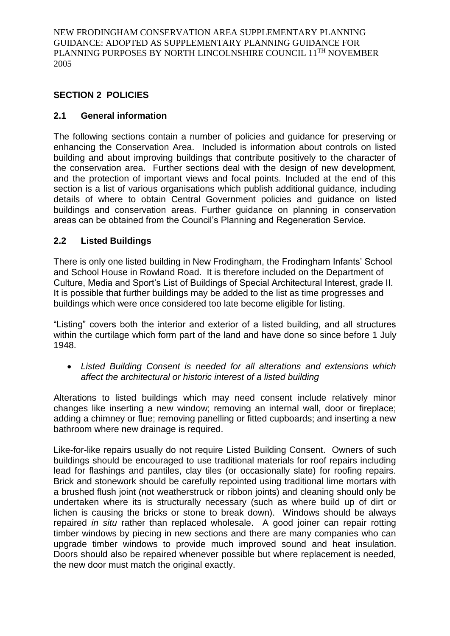# **SECTION 2 POLICIES**

# **2.1 General information**

The following sections contain a number of policies and guidance for preserving or enhancing the Conservation Area. Included is information about controls on listed building and about improving buildings that contribute positively to the character of the conservation area. Further sections deal with the design of new development, and the protection of important views and focal points. Included at the end of this section is a list of various organisations which publish additional guidance, including details of where to obtain Central Government policies and guidance on listed buildings and conservation areas. Further guidance on planning in conservation areas can be obtained from the Council's Planning and Regeneration Service.

# **2.2 Listed Buildings**

There is only one listed building in New Frodingham, the Frodingham Infants' School and School House in Rowland Road. It is therefore included on the Department of Culture, Media and Sport's List of Buildings of Special Architectural Interest, grade II. It is possible that further buildings may be added to the list as time progresses and buildings which were once considered too late become eligible for listing.

"Listing" covers both the interior and exterior of a listed building, and all structures within the curtilage which form part of the land and have done so since before 1 July 1948.

 *Listed Building Consent is needed for all alterations and extensions which affect the architectural or historic interest of a listed building*

Alterations to listed buildings which may need consent include relatively minor changes like inserting a new window; removing an internal wall, door or fireplace; adding a chimney or flue; removing panelling or fitted cupboards; and inserting a new bathroom where new drainage is required.

Like-for-like repairs usually do not require Listed Building Consent. Owners of such buildings should be encouraged to use traditional materials for roof repairs including lead for flashings and pantiles, clay tiles (or occasionally slate) for roofing repairs. Brick and stonework should be carefully repointed using traditional lime mortars with a brushed flush joint (not weatherstruck or ribbon joints) and cleaning should only be undertaken where its is structurally necessary (such as where build up of dirt or lichen is causing the bricks or stone to break down). Windows should be always repaired *in situ* rather than replaced wholesale. A good joiner can repair rotting timber windows by piecing in new sections and there are many companies who can upgrade timber windows to provide much improved sound and heat insulation. Doors should also be repaired whenever possible but where replacement is needed, the new door must match the original exactly.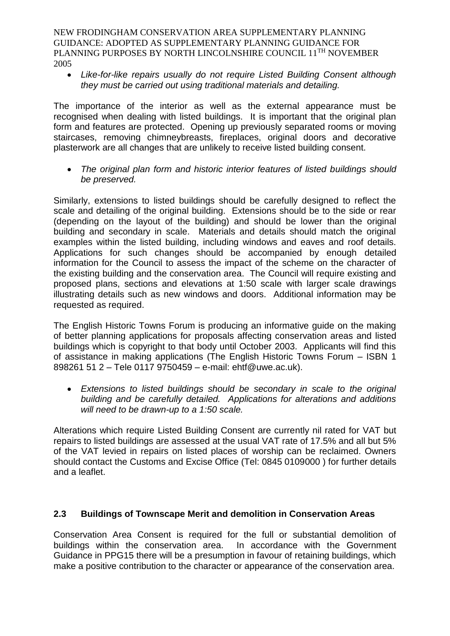*Like-for-like repairs usually do not require Listed Building Consent although they must be carried out using traditional materials and detailing.*

The importance of the interior as well as the external appearance must be recognised when dealing with listed buildings. It is important that the original plan form and features are protected. Opening up previously separated rooms or moving staircases, removing chimneybreasts, fireplaces, original doors and decorative plasterwork are all changes that are unlikely to receive listed building consent.

 *The original plan form and historic interior features of listed buildings should be preserved.*

Similarly, extensions to listed buildings should be carefully designed to reflect the scale and detailing of the original building. Extensions should be to the side or rear (depending on the layout of the building) and should be lower than the original building and secondary in scale. Materials and details should match the original examples within the listed building, including windows and eaves and roof details. Applications for such changes should be accompanied by enough detailed information for the Council to assess the impact of the scheme on the character of the existing building and the conservation area. The Council will require existing and proposed plans, sections and elevations at 1:50 scale with larger scale drawings illustrating details such as new windows and doors. Additional information may be requested as required.

The English Historic Towns Forum is producing an informative guide on the making of better planning applications for proposals affecting conservation areas and listed buildings which is copyright to that body until October 2003. Applicants will find this of assistance in making applications (The English Historic Towns Forum – ISBN 1 898261 51 2 – Tele 0117 9750459 – e-mail: ehtf@uwe.ac.uk).

 *Extensions to listed buildings should be secondary in scale to the original building and be carefully detailed. Applications for alterations and additions will need to be drawn-up to a 1:50 scale.*

Alterations which require Listed Building Consent are currently nil rated for VAT but repairs to listed buildings are assessed at the usual VAT rate of 17.5% and all but 5% of the VAT levied in repairs on listed places of worship can be reclaimed. Owners should contact the Customs and Excise Office (Tel: 0845 0109000 ) for further details and a leaflet.

# **2.3 Buildings of Townscape Merit and demolition in Conservation Areas**

Conservation Area Consent is required for the full or substantial demolition of buildings within the conservation area. In accordance with the Government Guidance in PPG15 there will be a presumption in favour of retaining buildings, which make a positive contribution to the character or appearance of the conservation area.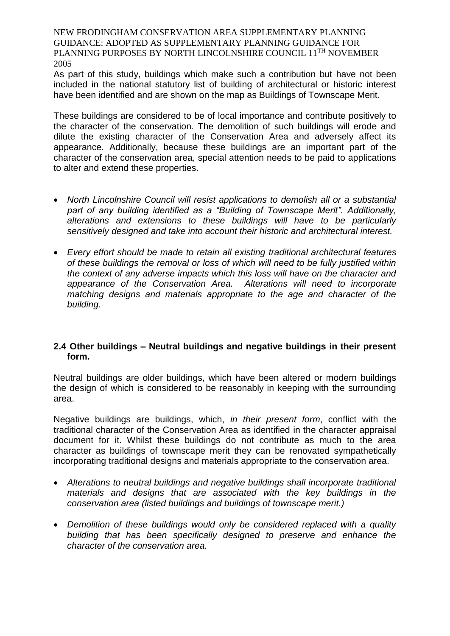As part of this study, buildings which make such a contribution but have not been included in the national statutory list of building of architectural or historic interest have been identified and are shown on the map as Buildings of Townscape Merit.

These buildings are considered to be of local importance and contribute positively to the character of the conservation. The demolition of such buildings will erode and dilute the existing character of the Conservation Area and adversely affect its appearance. Additionally, because these buildings are an important part of the character of the conservation area, special attention needs to be paid to applications to alter and extend these properties.

- *North Lincolnshire Council will resist applications to demolish all or a substantial part of any building identified as a "Building of Townscape Merit". Additionally, alterations and extensions to these buildings will have to be particularly sensitively designed and take into account their historic and architectural interest.*
- *Every effort should be made to retain all existing traditional architectural features of these buildings the removal or loss of which will need to be fully justified within the context of any adverse impacts which this loss will have on the character and appearance of the Conservation Area. Alterations will need to incorporate matching designs and materials appropriate to the age and character of the building.*

#### **2.4 Other buildings – Neutral buildings and negative buildings in their present form.**

Neutral buildings are older buildings, which have been altered or modern buildings the design of which is considered to be reasonably in keeping with the surrounding area.

Negative buildings are buildings, which, *in their present form*, conflict with the traditional character of the Conservation Area as identified in the character appraisal document for it. Whilst these buildings do not contribute as much to the area character as buildings of townscape merit they can be renovated sympathetically incorporating traditional designs and materials appropriate to the conservation area.

- *Alterations to neutral buildings and negative buildings shall incorporate traditional materials and designs that are associated with the key buildings in the conservation area (listed buildings and buildings of townscape merit.)*
- *Demolition of these buildings would only be considered replaced with a quality building that has been specifically designed to preserve and enhance the character of the conservation area.*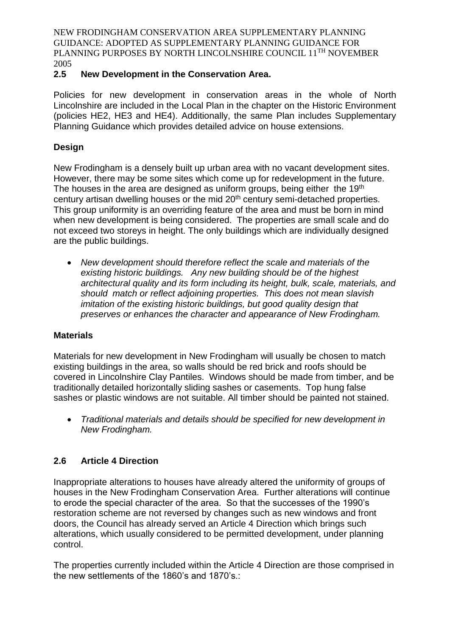# **2.5 New Development in the Conservation Area.**

Policies for new development in conservation areas in the whole of North Lincolnshire are included in the Local Plan in the chapter on the Historic Environment (policies HE2, HE3 and HE4). Additionally, the same Plan includes Supplementary Planning Guidance which provides detailed advice on house extensions.

# **Design**

New Frodingham is a densely built up urban area with no vacant development sites. However, there may be some sites which come up for redevelopment in the future. The houses in the area are designed as uniform groups, being either the 19<sup>th</sup> century artisan dwelling houses or the mid 20<sup>th</sup> century semi-detached properties. This group uniformity is an overriding feature of the area and must be born in mind when new development is being considered. The properties are small scale and do not exceed two storeys in height. The only buildings which are individually designed are the public buildings.

 *New development should therefore reflect the scale and materials of the existing historic buildings. Any new building should be of the highest architectural quality and its form including its height, bulk, scale, materials, and should match or reflect adjoining properties. This does not mean slavish imitation of the existing historic buildings, but good quality design that preserves or enhances the character and appearance of New Frodingham.*

# **Materials**

Materials for new development in New Frodingham will usually be chosen to match existing buildings in the area, so walls should be red brick and roofs should be covered in Lincolnshire Clay Pantiles. Windows should be made from timber, and be traditionally detailed horizontally sliding sashes or casements. Top hung false sashes or plastic windows are not suitable. All timber should be painted not stained.

 *Traditional materials and details should be specified for new development in New Frodingham.*

# **2.6 Article 4 Direction**

Inappropriate alterations to houses have already altered the uniformity of groups of houses in the New Frodingham Conservation Area. Further alterations will continue to erode the special character of the area. So that the successes of the 1990's restoration scheme are not reversed by changes such as new windows and front doors, the Council has already served an Article 4 Direction which brings such alterations, which usually considered to be permitted development, under planning control.

The properties currently included within the Article 4 Direction are those comprised in the new settlements of the 1860's and 1870's.: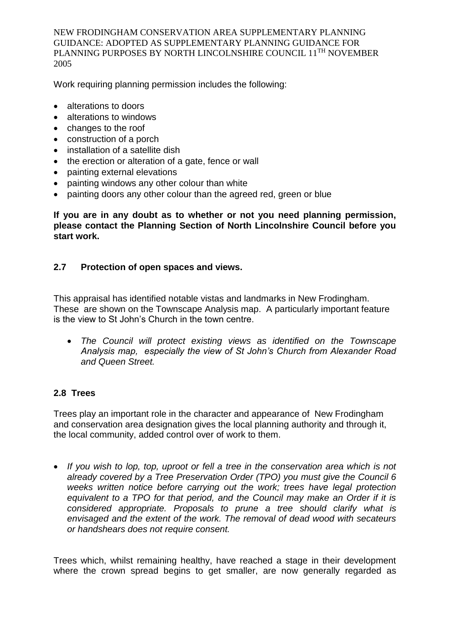Work requiring planning permission includes the following:

- alterations to doors
- alterations to windows
- changes to the roof
- construction of a porch
- installation of a satellite dish
- the erection or alteration of a gate, fence or wall
- painting external elevations
- painting windows any other colour than white
- painting doors any other colour than the agreed red, green or blue

**If you are in any doubt as to whether or not you need planning permission, please contact the Planning Section of North Lincolnshire Council before you start work.**

# **2.7 Protection of open spaces and views.**

This appraisal has identified notable vistas and landmarks in New Frodingham. These are shown on the Townscape Analysis map. A particularly important feature is the view to St John's Church in the town centre.

 *The Council will protect existing views as identified on the Townscape Analysis map, especially the view of St John's Church from Alexander Road and Queen Street.*

# **2.8 Trees**

Trees play an important role in the character and appearance of New Frodingham and conservation area designation gives the local planning authority and through it, the local community, added control over of work to them.

 *If you wish to lop, top, uproot or fell a tree in the conservation area which is not already covered by a Tree Preservation Order (TPO) you must give the Council 6 weeks written notice before carrying out the work; trees have legal protection equivalent to a TPO for that period, and the Council may make an Order if it is considered appropriate. Proposals to prune a tree should clarify what is envisaged and the extent of the work. The removal of dead wood with secateurs or handshears does not require consent.*

Trees which, whilst remaining healthy, have reached a stage in their development where the crown spread begins to get smaller, are now generally regarded as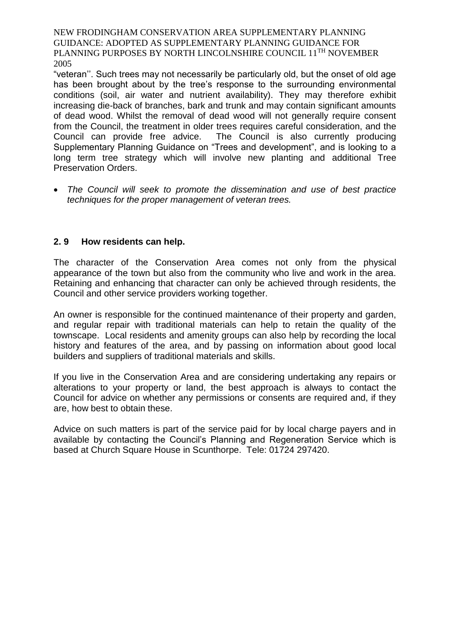"veteran''. Such trees may not necessarily be particularly old, but the onset of old age has been brought about by the tree's response to the surrounding environmental conditions (soil, air water and nutrient availability). They may therefore exhibit increasing die-back of branches, bark and trunk and may contain significant amounts of dead wood. Whilst the removal of dead wood will not generally require consent from the Council, the treatment in older trees requires careful consideration, and the Council can provide free advice. The Council is also currently producing Supplementary Planning Guidance on "Trees and development", and is looking to a long term tree strategy which will involve new planting and additional Tree Preservation Orders.

 *The Council will seek to promote the dissemination and use of best practice techniques for the proper management of veteran trees.* 

#### **2. 9 How residents can help.**

The character of the Conservation Area comes not only from the physical appearance of the town but also from the community who live and work in the area. Retaining and enhancing that character can only be achieved through residents, the Council and other service providers working together.

An owner is responsible for the continued maintenance of their property and garden, and regular repair with traditional materials can help to retain the quality of the townscape. Local residents and amenity groups can also help by recording the local history and features of the area, and by passing on information about good local builders and suppliers of traditional materials and skills.

If you live in the Conservation Area and are considering undertaking any repairs or alterations to your property or land, the best approach is always to contact the Council for advice on whether any permissions or consents are required and, if they are, how best to obtain these.

Advice on such matters is part of the service paid for by local charge payers and in available by contacting the Council's Planning and Regeneration Service which is based at Church Square House in Scunthorpe. Tele: 01724 297420.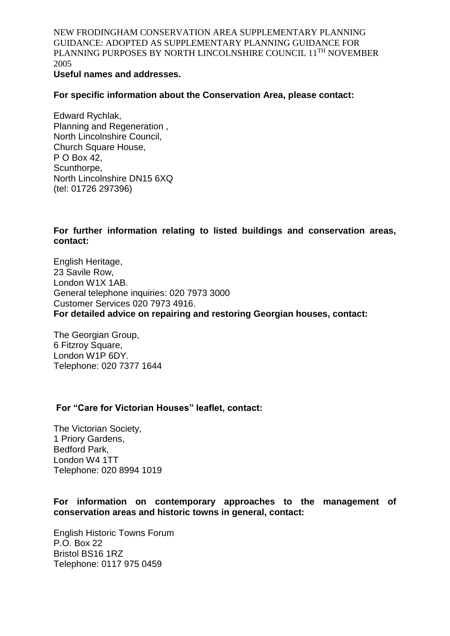#### **Useful names and addresses.**

**For specific information about the Conservation Area, please contact:**

Edward Rychlak, Planning and Regeneration , North Lincolnshire Council, Church Square House, P O Box 42, Scunthorpe, North Lincolnshire DN15 6XQ (tel: 01726 297396)

**For further information relating to listed buildings and conservation areas, contact:**

English Heritage, 23 Savile Row, London W1X 1AB. General telephone inquiries: 020 7973 3000 Customer Services 020 7973 4916. **For detailed advice on repairing and restoring Georgian houses, contact:**

The Georgian Group, 6 Fitzroy Square, London W1P 6DY. Telephone: 020 7377 1644

#### **For "Care for Victorian Houses" leaflet, contact:**

The Victorian Society, 1 Priory Gardens, Bedford Park, London W4 1TT Telephone: 020 8994 1019

**For information on contemporary approaches to the management of conservation areas and historic towns in general, contact:**

English Historic Towns Forum P.O. Box 22 Bristol BS16 1RZ Telephone: 0117 975 0459